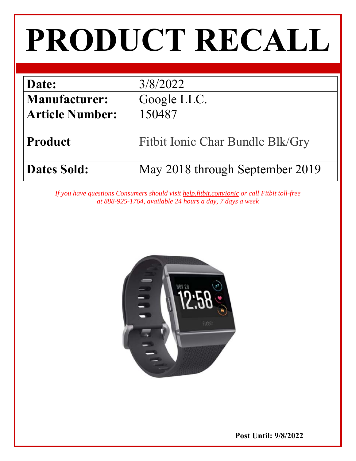# **PRODUCT RECALL**

| Date:                  | 3/8/2022                         |
|------------------------|----------------------------------|
| <b>Manufacturer:</b>   | Google LLC.                      |
| <b>Article Number:</b> | 150487                           |
|                        |                                  |
| <b>Product</b>         | Fitbit Ionic Char Bundle Blk/Gry |
| <b>Dates Sold:</b>     | May 2018 through September 2019  |

*If you have questions Consumers should visit help.fitbit.com/ionic or call Fitbit toll-free at 888-925-1764, available 24 hours a day, 7 days a week* 



 **Post Until: 9/8/2022**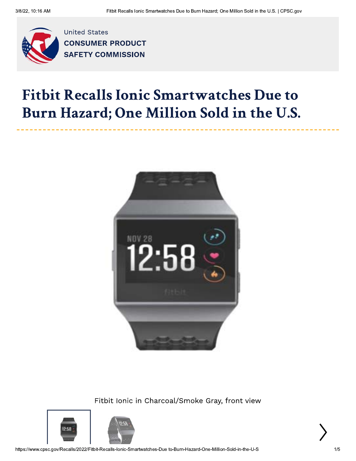

**United States CONSUMER PRODUCT SAFETY COMMISSION** 

## **Fitbit Recalls Ionic Smartwatches Due to** Burn Hazard; One Million Sold in the U.S.



Fitbit Ionic in Charcoal/Smoke Gray, front view





https://www.cpsc.gov/Recalls/2022/Fitbit-Recalls-Ionic-Smartwatches-Due to-Burn-Hazard-One-Million-Sold-in-the-U-S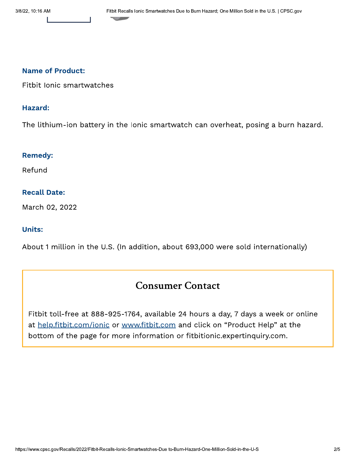#### **Name of Product:**

Fitbit Ionic smartwatches

#### Hazard:

The lithium-ion battery in the Ionic smartwatch can overheat, posing a burn hazard.

#### **Remedy:**

Refund

#### **Recall Date:**

March 02, 2022

#### **Units:**

About 1 million in the U.S. (In addition, about 693,000 were sold internationally)

### **Consumer Contact**

Fitbit toll-free at 888-925-1764, available 24 hours a day, 7 days a week or online at help.fitbit.com/ionic or www.fitbit.com and click on "Product Help" at the bottom of the page for more information or fitbitionic.expertinquiry.com.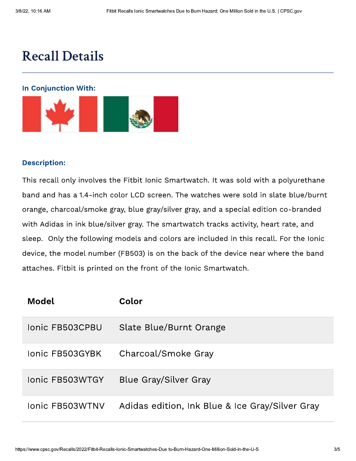## **Recall Details**

#### **In Conjunction With:**



#### **Description:**

This recall only involves the Fitbit Ionic Smartwatch. It was sold with a polyurethane band and has a 1.4-inch color LCD screen. The watches were sold in slate blue/burnt orange, charcoal/smoke gray, blue gray/silver gray, and a special edition co-branded with Adidas in ink blue/silver gray. The smartwatch tracks activity, heart rate, and sleep. Only the following models and colors are included in this recall. For the Ionic device, the model number (FB503) is on the back of the device near where the band attaches. Fitbit is printed on the front of the Ionic Smartwatch.

| Model                  | Color                                           |
|------------------------|-------------------------------------------------|
| <b>Ionic FB503CPBU</b> | Slate Blue/Burnt Orange                         |
| Jonic FB503GYBK        | Charcoal/Smoke Gray                             |
| <b>Ionic FB503WTGY</b> | Blue Gray/Silver Gray                           |
| Ionic FB503WTNV        | Adidas edition, Ink Blue & Ice Gray/Silver Gray |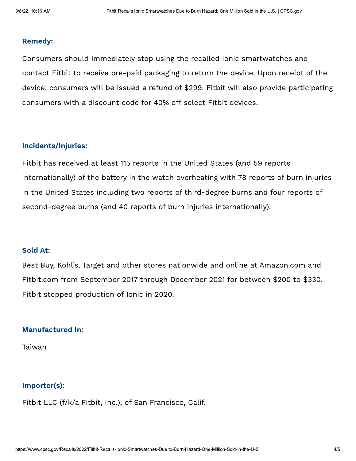#### **Remedy:**

Consumers should immediately stop using the recalled Ionic smartwatches and contact Fitbit to receive pre-paid packaging to return the device. Upon receipt of the device, consumers will be issued a refund of \$299. Fitbit will also provide participating consumers with a discount code for 40% off select Fitbit devices.

#### **Incidents/Injuries:**

Fitbit has received at least 115 reports in the United States (and 59 reports internationally) of the battery in the watch overheating with 78 reports of burn injuries in the United States including two reports of third-degree burns and four reports of second-degree burns (and 40 reports of burn injuries internationally).

#### **Sold At:**

Best Buy, Kohl's, Target and other stores nationwide and online at Amazon.com and Fitbit.com from September 2017 through December 2021 for between \$200 to \$330. Fitbit stopped production of Ionic in 2020.

#### **Manufactured In:**

Taiwan

#### Importer(s):

Fitbit LLC (f/k/a Fitbit, Inc.), of San Francisco, Calif.